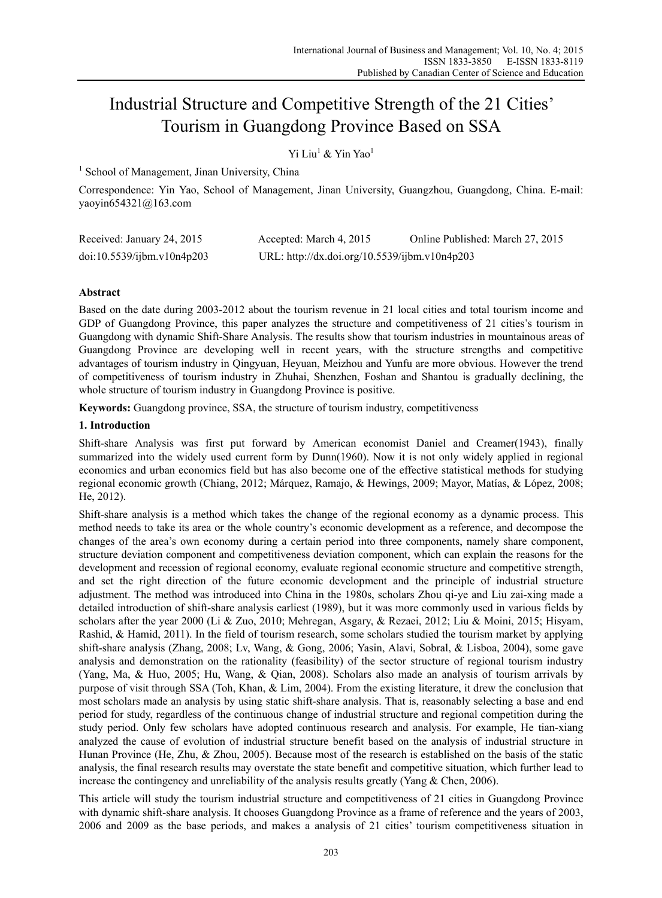# Industrial Structure and Competitive Strength of the 21 Cities' Tourism in Guangdong Province Based on SSA

Yi Liu<sup>1</sup> & Yin Yao<sup>1</sup>

<sup>1</sup> School of Management, Jinan University, China

Correspondence: Yin Yao, School of Management, Jinan University, Guangzhou, Guangdong, China. E-mail: yaoyin654321@163.com

| Received: January 24, 2015 | Accepted: March 4, 2015                       | Online Published: March 27, 2015 |
|----------------------------|-----------------------------------------------|----------------------------------|
| doi:10.5539/ijbm.v10n4p203 | URL: http://dx.doi.org/10.5539/ijbm.v10n4p203 |                                  |

# **Abstract**

Based on the date during 2003-2012 about the tourism revenue in 21 local cities and total tourism income and GDP of Guangdong Province, this paper analyzes the structure and competitiveness of 21 cities's tourism in Guangdong with dynamic Shift-Share Analysis. The results show that tourism industries in mountainous areas of Guangdong Province are developing well in recent years, with the structure strengths and competitive advantages of tourism industry in Qingyuan, Heyuan, Meizhou and Yunfu are more obvious. However the trend of competitiveness of tourism industry in Zhuhai, Shenzhen, Foshan and Shantou is gradually declining, the whole structure of tourism industry in Guangdong Province is positive.

**Keywords:** Guangdong province, SSA, the structure of tourism industry, competitiveness

# **1. Introduction**

Shift-share Analysis was first put forward by American economist Daniel and Creamer(1943), finally summarized into the widely used current form by Dunn(1960). Now it is not only widely applied in regional economics and urban economics field but has also become one of the effective statistical methods for studying regional economic growth (Chiang, 2012; Márquez, Ramajo, & Hewings, 2009; Mayor, Matías, & López, 2008; He, 2012).

Shift-share analysis is a method which takes the change of the regional economy as a dynamic process. This method needs to take its area or the whole country's economic development as a reference, and decompose the changes of the area's own economy during a certain period into three components, namely share component, structure deviation component and competitiveness deviation component, which can explain the reasons for the development and recession of regional economy, evaluate regional economic structure and competitive strength, and set the right direction of the future economic development and the principle of industrial structure adjustment. The method was introduced into China in the 1980s, scholars Zhou qi-ye and Liu zai-xing made a detailed introduction of shift-share analysis earliest (1989), but it was more commonly used in various fields by scholars after the year 2000 (Li & Zuo, 2010; Mehregan, Asgary, & Rezaei, 2012; Liu & Moini, 2015; Hisyam, Rashid, & Hamid, 2011). In the field of tourism research, some scholars studied the tourism market by applying shift-share analysis (Zhang, 2008; Lv, Wang, & Gong, 2006; Yasin, Alavi, Sobral, & Lisboa, 2004), some gave analysis and demonstration on the rationality (feasibility) of the sector structure of regional tourism industry (Yang, Ma, & Huo, 2005; Hu, Wang, & Qian, 2008). Scholars also made an analysis of tourism arrivals by purpose of visit through SSA (Toh, Khan, & Lim, 2004). From the existing literature, it drew the conclusion that most scholars made an analysis by using static shift-share analysis. That is, reasonably selecting a base and end period for study, regardless of the continuous change of industrial structure and regional competition during the study period. Only few scholars have adopted continuous research and analysis. For example, He tian-xiang analyzed the cause of evolution of industrial structure benefit based on the analysis of industrial structure in Hunan Province (He, Zhu, & Zhou, 2005). Because most of the research is established on the basis of the static analysis, the final research results may overstate the state benefit and competitive situation, which further lead to increase the contingency and unreliability of the analysis results greatly (Yang & Chen, 2006).

This article will study the tourism industrial structure and competitiveness of 21 cities in Guangdong Province with dynamic shift-share analysis. It chooses Guangdong Province as a frame of reference and the years of 2003, 2006 and 2009 as the base periods, and makes a analysis of 21 cities' tourism competitiveness situation in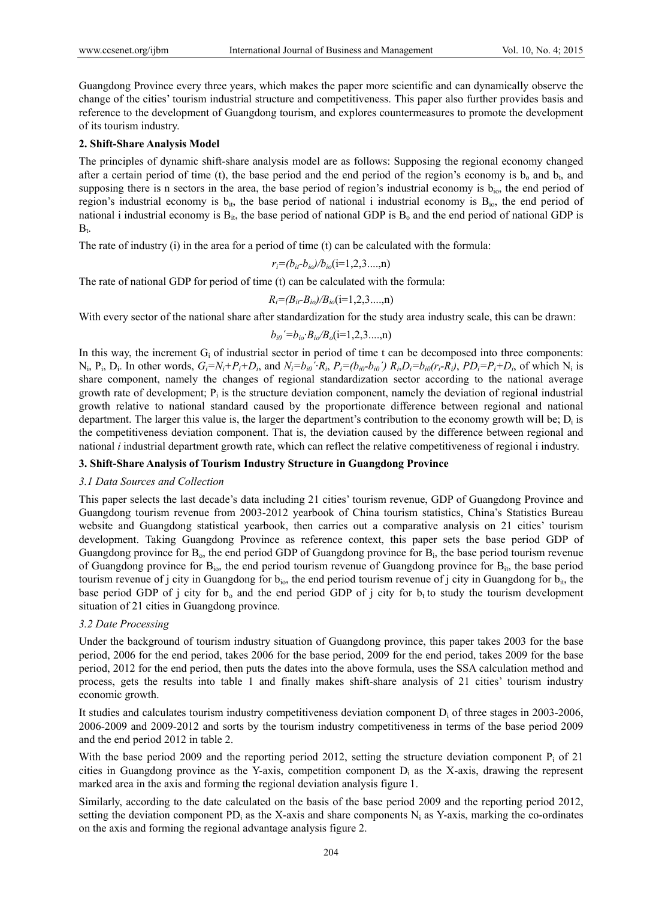Guangdong Province every three years, which makes the paper more scientific and can dynamically observe the change of the cities' tourism industrial structure and competitiveness. This paper also further provides basis and reference to the development of Guangdong tourism, and explores countermeasures to promote the development of its tourism industry.

## **2. Shift-Share Analysis Model**

The principles of dynamic shift-share analysis model are as follows: Supposing the regional economy changed after a certain period of time (t), the base period and the end period of the region's economy is  $b_0$  and  $b_1$ , and supposing there is n sectors in the area, the base period of region's industrial economy is b<sub>io</sub>, the end period of region's industrial economy is  $b_{ii}$ , the base period of national i industrial economy is  $B_{i0}$ , the end period of national i industrial economy is  $B_{it}$ , the base period of national GDP is  $B_0$  and the end period of national GDP is  $B_t$ .

The rate of industry (i) in the area for a period of time (t) can be calculated with the formula:

$$
r_i = (b_{it} - b_{io})/b_{io}(i = 1, 2, 3, \ldots, n)
$$

The rate of national GDP for period of time (t) can be calculated with the formula:

$$
R_i = (B_{it} - B_{io})/B_{io}(i=1,2,3...,n)
$$

With every sector of the national share after standardization for the study area industry scale, this can be drawn:

$$
b_{i0}
$$
'= $b_{i0}$ ' $B_{i0}$ / $B_o$ (i=1,2,3...,n)

In this way, the increment  $G_i$  of industrial sector in period of time t can be decomposed into three components: N<sub>i</sub>, P<sub>i</sub>, D<sub>i</sub>. In other words,  $G_i = N_i + P_i + D_i$ , and  $N_i = b_{i0} \cdot R_i$ ,  $P_i = (b_{i0} - b_{i0}) R_i$ ,  $D_i = b_{i0} (r_i - R_i)$ ,  $PD_i = P_i + D_i$ , of which N<sub>i</sub> is share component, namely the changes of regional standardization sector according to the national average growth rate of development;  $P_i$  is the structure deviation component, namely the deviation of regional industrial growth relative to national standard caused by the proportionate difference between regional and national department. The larger this value is, the larger the department's contribution to the economy growth will be;  $D_i$  is the competitiveness deviation component. That is, the deviation caused by the difference between regional and national *i* industrial department growth rate, which can reflect the relative competitiveness of regional i industry.

#### **3. Shift-Share Analysis of Tourism Industry Structure in Guangdong Province**

#### *3.1 Data Sources and Collection*

This paper selects the last decade's data including 21 cities' tourism revenue, GDP of Guangdong Province and Guangdong tourism revenue from 2003-2012 yearbook of China tourism statistics, China's Statistics Bureau website and Guangdong statistical yearbook, then carries out a comparative analysis on 21 cities' tourism development. Taking Guangdong Province as reference context, this paper sets the base period GDP of Guangdong province for  $B_0$ , the end period GDP of Guangdong province for  $B_i$ , the base period tourism revenue of Guangdong province for  $B_{i_0}$ , the end period tourism revenue of Guangdong province for  $B_{i_0}$ , the base period tourism revenue of j city in Guangdong for  $b_{io}$ , the end period tourism revenue of j city in Guangdong for  $b_{it}$ , the base period GDP of j city for  $b_0$  and the end period GDP of j city for  $b_1$  to study the tourism development situation of 21 cities in Guangdong province.

#### *3.2 Date Processing*

Under the background of tourism industry situation of Guangdong province, this paper takes 2003 for the base period, 2006 for the end period, takes 2006 for the base period, 2009 for the end period, takes 2009 for the base period, 2012 for the end period, then puts the dates into the above formula, uses the SSA calculation method and process, gets the results into table 1 and finally makes shift-share analysis of 21 cities' tourism industry economic growth.

It studies and calculates tourism industry competitiveness deviation component  $D_i$  of three stages in 2003-2006, 2006-2009 and 2009-2012 and sorts by the tourism industry competitiveness in terms of the base period 2009 and the end period 2012 in table 2.

With the base period 2009 and the reporting period 2012, setting the structure deviation component  $P_i$  of 21 cities in Guangdong province as the Y-axis, competition component  $D_i$  as the X-axis, drawing the represent marked area in the axis and forming the regional deviation analysis figure 1.

Similarly, according to the date calculated on the basis of the base period 2009 and the reporting period 2012, setting the deviation component PD<sub>i</sub> as the X-axis and share components  $N_i$  as Y-axis, marking the co-ordinates on the axis and forming the regional advantage analysis figure 2.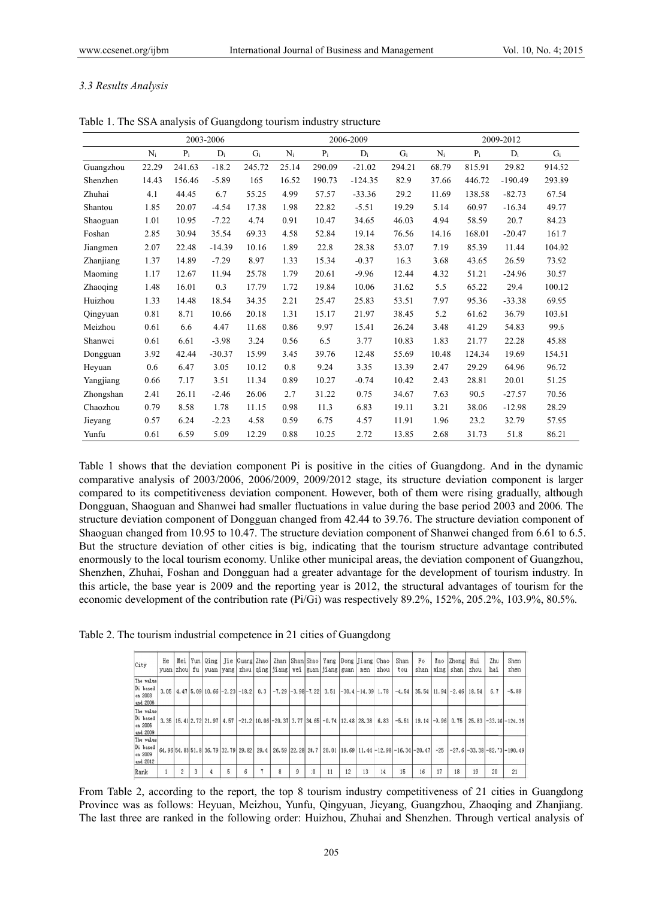## *3.3 Results s Analysis*

|           |       |        | 2003-2006 |        |       |        | 2006-2009 |        |       |        | 2009-2012 |        |
|-----------|-------|--------|-----------|--------|-------|--------|-----------|--------|-------|--------|-----------|--------|
|           | $N_i$ | $P_i$  | $D_i$     | $G_i$  | $N_i$ | $P_i$  | $D_i$     | $G_i$  | $N_i$ | $P_i$  | $D_i$     | $G_i$  |
| Guangzhou | 22.29 | 241.63 | $-18.2$   | 245.72 | 25.14 | 290.09 | $-21.02$  | 294.21 | 68.79 | 815.91 | 29.82     | 914.52 |
| Shenzhen  | 14.43 | 156.46 | $-5.89$   | 165    | 16.52 | 190.73 | $-124.35$ | 82.9   | 37.66 | 446.72 | $-190.49$ | 293.89 |
| Zhuhai    | 4.1   | 44.45  | 6.7       | 55.25  | 4.99  | 57.57  | $-33.36$  | 29.2   | 11.69 | 138.58 | $-82.73$  | 67.54  |
| Shantou   | 1.85  | 20.07  | $-4.54$   | 17.38  | 1.98  | 22.82  | $-5.51$   | 19.29  | 5.14  | 60.97  | $-16.34$  | 49.77  |
| Shaoguan  | 1.01  | 10.95  | $-7.22$   | 4.74   | 0.91  | 10.47  | 34.65     | 46.03  | 4.94  | 58.59  | 20.7      | 84.23  |
| Foshan    | 2.85  | 30.94  | 35.54     | 69.33  | 4.58  | 52.84  | 19.14     | 76.56  | 14.16 | 168.01 | $-20.47$  | 161.7  |
| Jiangmen  | 2.07  | 22.48  | $-14.39$  | 10.16  | 1.89  | 22.8   | 28.38     | 53.07  | 7.19  | 85.39  | 11.44     | 104.02 |
| Zhanjiang | 1.37  | 14.89  | $-7.29$   | 8.97   | 1.33  | 15.34  | $-0.37$   | 16.3   | 3.68  | 43.65  | 26.59     | 73.92  |
| Maoming   | 1.17  | 12.67  | 11.94     | 25.78  | 1.79  | 20.61  | $-9.96$   | 12.44  | 4.32  | 51.21  | $-24.96$  | 30.57  |
| Zhaoqing  | 1.48  | 16.01  | 0.3       | 17.79  | 1.72  | 19.84  | 10.06     | 31.62  | 5.5   | 65.22  | 29.4      | 100.12 |
| Huizhou   | 1.33  | 14.48  | 18.54     | 34.35  | 2.21  | 25.47  | 25.83     | 53.51  | 7.97  | 95.36  | $-33.38$  | 69.95  |
| Qingyuan  | 0.81  | 8.71   | 10.66     | 20.18  | 1.31  | 15.17  | 21.97     | 38.45  | 5.2   | 61.62  | 36.79     | 103.61 |
| Meizhou   | 0.61  | 6.6    | 4.47      | 11.68  | 0.86  | 9.97   | 15.41     | 26.24  | 3.48  | 41.29  | 54.83     | 99.6   |
| Shanwei   | 0.61  | 6.61   | $-3.98$   | 3.24   | 0.56  | 6.5    | 3.77      | 10.83  | 1.83  | 21.77  | 22.28     | 45.88  |
| Dongguan  | 3.92  | 42.44  | $-30.37$  | 15.99  | 3.45  | 39.76  | 12.48     | 55.69  | 10.48 | 124.34 | 19.69     | 154.51 |
| Heyuan    | 0.6   | 6.47   | 3.05      | 10.12  | 0.8   | 9.24   | 3.35      | 13.39  | 2.47  | 29.29  | 64.96     | 96.72  |
| Yangjiang | 0.66  | 7.17   | 3.51      | 11.34  | 0.89  | 10.27  | $-0.74$   | 10.42  | 2.43  | 28.81  | 20.01     | 51.25  |
| Zhongshan | 2.41  | 26.11  | $-2.46$   | 26.06  | 2.7   | 31.22  | 0.75      | 34.67  | 7.63  | 90.5   | $-27.57$  | 70.56  |
| Chaozhou  | 0.79  | 8.58   | 1.78      | 11.15  | 0.98  | 11.3   | 6.83      | 19.11  | 3.21  | 38.06  | $-12.98$  | 28.29  |
| Jieyang   | 0.57  | 6.24   | $-2.23$   | 4.58   | 0.59  | 6.75   | 4.57      | 11.91  | 1.96  | 23.2   | 32.79     | 57.95  |
| Yunfu     | 0.61  | 6.59   | 5.09      | 12.29  | 0.88  | 10.25  | 2.72      | 13.85  | 2.68  | 31.73  | 51.8      | 86.21  |

Table 1. The SSA analysis of Guangdong tourism industry structure

Table 1 shows that the deviation component Pi is positive in the cities of Guangdong. And in the dynamic comparative analysis of 2003/2006, 2006/2009, 2009/2012 stage, its structure deviation component is larger compared to its competitiveness deviation component. However, both of them were rising gradually, although Dongguan, Shaoguan and Shanwei had smaller fluctuations in value during the base period 2003 and 2006. The structure deviation component of Dongguan changed from 42.44 to 39.76. The structure deviation component of Shaoguan changed from 10.95 to 10.47. The structure deviation component of Shanwei changed from 6.61 to 6.5. But the structure deviation of other cities is big, indicating that the tourism structure advantage contributed enormously to the local tourism economy. Unlike other municipal areas, the deviation component of Guangzhou, Shenzhen, Zhuhai, Foshan and Dongguan had a greater advantage for the development of tourism industry. In this article, the base year is 2009 and the reporting year is 2012, the structural advantages of tourism for the economic development of the contribution rate (Pi/Gi) was respectively 89.2%, 152%, 205.2%, 103.9%, 80.5%.

Table 2. The tourism industrial competence in 21 cities of Guangdong

| City                                         | He |   |   |   | Mei  Yun Qing  Jie  Guarg Zhao  Zhan  Shan Shao  Yang  Dong Jiang Chao <br>yuan zhou fu yuan yang zhou qing jiang vei guan jiang guan men                                                                          |   |    |    |    |    | zhou | Shan<br>tou                             | Fo<br>shan |    | Mao Zhong Hui<br>  ming   shan | zhou | Zhu<br>hai | Shen<br>zhen                                                                                                                                                                             |
|----------------------------------------------|----|---|---|---|--------------------------------------------------------------------------------------------------------------------------------------------------------------------------------------------------------------------|---|----|----|----|----|------|-----------------------------------------|------------|----|--------------------------------|------|------------|------------------------------------------------------------------------------------------------------------------------------------------------------------------------------------------|
| The value<br>Di based<br>on 2003<br>and 2006 |    |   |   |   | $3.05$ $\mid$ $4.47$ $\mid$ $5.09$ $\mid$ $10.66$ $\mid$ $-2.23$ $\mid$ $-18.2$ $\mid$ $\mid$ $0.3$ $\mid$ $-7.29$ $\mid$ $-3.98$ $\mid$ $-7.22$ $\mid$ $3.51$ $\mid$ $-30.4$ $\mid$ $-14.39$ $\mid$ $1.78$ $\mid$ |   |    |    |    |    |      | $-4.54$   35.54   11.94   -2.46   18.54 |            |    |                                |      | 6.7        | $-5.89$                                                                                                                                                                                  |
| The value<br>Di based<br>on 2006<br>and 2009 |    |   |   |   |                                                                                                                                                                                                                    |   |    |    |    |    |      |                                         |            |    |                                |      |            | 3, 35   15, 41   2, 72   21, 97   4, 57   -21, 2   10, 06   -20, 37   3, 77   34, 65   -0, 74   12, 48   28, 38   6, 83   -5, 51   19, 14   -9, 96   0, 75   25, 83   -33, 36   -124, 35 |
| The value<br>Di based<br>on 2009<br>and 2012 |    |   |   |   |                                                                                                                                                                                                                    |   |    |    |    |    |      |                                         |            |    |                                |      |            | 64, 96 54, 83 51, 8 36, 79 32, 79 29, 82 29, 4 26, 59 22, 28 20, 7 20, 01 19, 69 11, 44 -12, 98 -16, 34 -20, 47 -25 -27, 6 -33, 38 -82, 3 -82, 3 -190, 49                                |
| Rank                                         |    | 3 | 5 | 6 | 8                                                                                                                                                                                                                  | 9 | 10 | 11 | 12 | 13 | 14   | 15                                      | 16         | 17 | 18                             | 19   | 20         | 21                                                                                                                                                                                       |

From Table 2, according to the report, the top 8 tourism industry competitiveness of 21 cities in Guangdong Province was as follows: Heyuan, Meizhou, Yunfu, Qingyuan, Jieyang, Guangzhou, Zhaoqing and Zhanjiang. The last three are ranked in the following order: Huizhou, Zhuhai and Shenzhen. Through vertical analysis of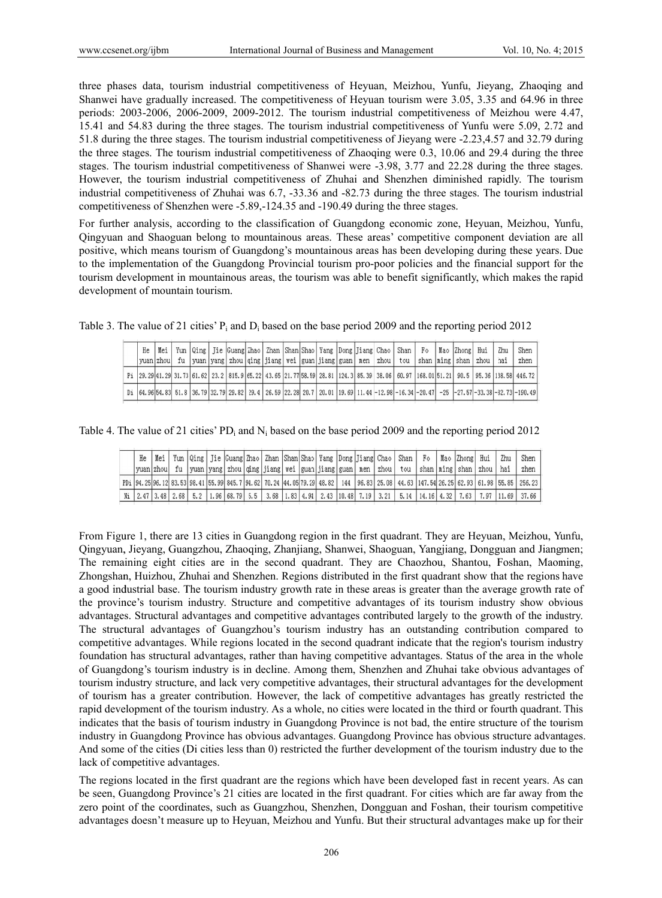three phases data, tourism industrial competitiveness of Heyuan, Meizhou, Yunfu, Jieyang, Zhaoqing and Shanwei have gradually increased. The competitiveness of Heyuan tourism were 3.05, 3.35 and 64.96 in three periods: 2003-2006, 2006-2009, 2009-2012. The tourism industrial competitiveness of Meizhou were 4.47, 15.41 and 54.83 during the three stages. The tourism industrial competitiveness of Yunfu were 5.09, 2.72 and 51.8 during the three stages. The tourism industrial competitiveness of Jieyang were -2.23,4.57 and 32.79 during the three stages. The tourism industrial competitiveness of Zhaoqing were 0.3, 10.06 and 29.4 during the three stages. The tourism industrial competitiveness of Shanwei were -3.98, 3.77 and 22.28 during the three stages. However, the tourism industrial competitiveness of Zhuhai and Shenzhen diminished rapidly. The tourism industrial competitiveness of Zhuhai was 6.7, -33.36 and -82.73 during the three stages. The tourism industrial competitiveness of Shenzhen were -5.89,-124.35 and -190.49 during the three stages.

For further analysis, according to the classification of Guangdong economic zone, Heyuan, Meizhou, Yunfu, Qingyuan and Shaoguan belong to mountainous areas. These areas' competitive component deviation are all positive, which means tourism of Guangdong's mountainous areas has been developing during these years. Due to the implementation of the Guangdong Provincial tourism pro-poor policies and the financial support for the tourism development in mountainous areas, the tourism was able to benefit significantly, which makes the rapid development of mountain tourism.

| He |  |  |  |  |  |  | Mei   Yun   Qing   Jie  Guang  Zhao   Zhan   Shan  Shao   Yang   Dong   Jiang   Chao   Shan   Fo  |  | Mao Zhong Hui | Zhu   | Shen                                                                                                                                                    |
|----|--|--|--|--|--|--|---------------------------------------------------------------------------------------------------|--|---------------|-------|---------------------------------------------------------------------------------------------------------------------------------------------------------|
|    |  |  |  |  |  |  | yuan zhou  fu  yuan yang zhou qing jiang wei guan jiang guan  men  zhou  tou  shan ming shan zhou |  |               | l hai | zhen                                                                                                                                                    |
|    |  |  |  |  |  |  |                                                                                                   |  |               |       | Pi 29.29 41.29 31.73 61.62 23.2 815.9 65.22 43.65 21.77 58.59 28.81 124.3 85.39 38.06 60.97 168.01 51.21 90.5 95.36 138.58 446.72                       |
|    |  |  |  |  |  |  |                                                                                                   |  |               |       | Di 64, 96 54, 83 51, 8 36, 79 32, 79 29, 82 29, 4 26, 59 22, 28 20, 7 20, 01 19, 69 11, 44 -12, 98 -16, 34 -20, 47 -25 -27, 57 -33, 38 -32, 73 -190, 49 |

Table 3. The value of 21 cities'  $P_i$  and  $D_i$  based on the base period 2009 and the reporting period 2012

| Table 4. The value of 21 cities' PD <sub>i</sub> and N <sub>i</sub> based on the base period 2009 and the reporting period 2012 |  |  |
|---------------------------------------------------------------------------------------------------------------------------------|--|--|
|---------------------------------------------------------------------------------------------------------------------------------|--|--|

| He |  |  |  |                                                                            |  |  |  | Mei   Yun   Qing   Jie  Guang  Zhao   Zhan   Shan  Shao   Yang   Dong   Jiang  Chao   Shan   Fo   Mao   Zhong   Hui |  |                           | Zhu | Shen                                                                                                                                |
|----|--|--|--|----------------------------------------------------------------------------|--|--|--|---------------------------------------------------------------------------------------------------------------------|--|---------------------------|-----|-------------------------------------------------------------------------------------------------------------------------------------|
|    |  |  |  | yuan zhou  fu  yuan yang zhou qing jiang wei guan jiang guan men zhou  tou |  |  |  |                                                                                                                     |  | shan   ming   shan   zhou | hai | zhen                                                                                                                                |
|    |  |  |  |                                                                            |  |  |  |                                                                                                                     |  |                           |     | PDi 94.25 96.12 83.53 98.41 55.99 845.7 94.62 70.24 44.05 79.29 48.82 144 96.83 25.08 44.63 147.54 26.25 62.93 61.98 55.85 256.25   |
|    |  |  |  |                                                                            |  |  |  |                                                                                                                     |  |                           |     | 81 200 310 430 4.52 4.68 5.2 4.98 68.79 5.8 5 6.8 5 6.8 5 6.91 2.43 4.94 5 6.48 7.19 3.21 5.14 4.16 4.32 7.63 7.85 7.97 11.69 37.66 |

From Figure 1, there are 13 cities in Guangdong region in the first quadrant. They are Heyuan, Meizhou, Yunfu, Qingyuan, Jieyang, Guangzhou, Zhaoqing, Zhanjiang, Shanwei, Shaoguan, Yangjiang, Dongguan and Jiangmen; The remaining eight cities are in the second quadrant. They are Chaozhou, Shantou, Foshan, Maoming, Zhongshan, Huizhou, Zhuhai and Shenzhen. Regions distributed in the first quadrant show that the regions have a good industrial base. The tourism industry growth rate in these areas is greater than the average growth rate of the province's tourism industry. Structure and competitive advantages of its tourism industry show obvious advantages. Structural advantages and competitive advantages contributed largely to the growth of the industry. The structural advantages of Guangzhou's tourism industry has an outstanding contribution compared to competitive advantages. While regions located in the second quadrant indicate that the region's tourism industry foundation has structural advantages, rather than having competitive advantages. Status of the area in the whole of Guangdong's tourism industry is in decline. Among them, Shenzhen and Zhuhai take obvious advantages of tourism industry structure, and lack very competitive advantages, their structural advantages for the development of tourism has a greater contribution. However, the lack of competitive advantages has greatly restricted the rapid development of the tourism industry. As a whole, no cities were located in the third or fourth quadrant. This indicates that the basis of tourism industry in Guangdong Province is not bad, the entire structure of the tourism industry in Guangdong Province has obvious advantages. Guangdong Province has obvious structure advantages. And some of the cities (Di cities less than 0) restricted the further development of the tourism industry due to the lack of competitive advantages.

The regions located in the first quadrant are the regions which have been developed fast in recent years. As can be seen, Guangdong Province's 21 cities are located in the first quadrant. For cities which are far away from the zero point of the coordinates, such as Guangzhou, Shenzhen, Dongguan and Foshan, their tourism competitive advantages doesn't measure up to Heyuan, Meizhou and Yunfu. But their structural advantages make up for their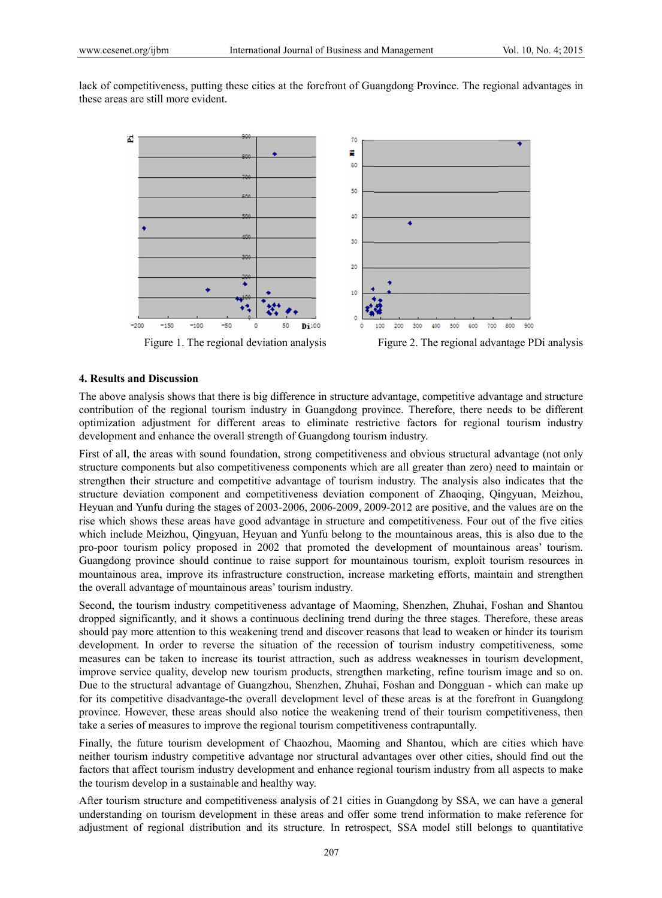lack of competitiveness, putting these cities at the forefront of Guangdong Province. The regional advantages in these areas are still more evident.



Figure 1. The regional deviation analysis



## **4. Results and Discussi on**

The above analysis shows that there is big difference in structure advantage, competitive advantage and structure contribution of the regional tourism industry in Guangdong province. Therefore, there needs to be different optimization adjustment for different areas to eliminate restrictive factors for regional tourism industry development and enhance the overall strength of Guangdong tourism industry.

First of all, the areas with sound foundation, strong competitiveness and obvious structural advantage (not only structure components but also competitiveness components which are all greater than zero) need to maintain or strengthen their structure and competitive advantage of tourism industry. The analysis also indicates that the structure deviation component and competitiveness deviation component of Zhaoqing, Qingyuan, Meizhou, Heyuan and Yunfu during the stages of 2003-2006, 2006-2009, 2009-2012 are positive, and the values are on the rise which shows these areas have good advantage in structure and competitiveness. Four out of the five cities which include Meizhou, Qingyuan, Heyuan and Yunfu belong to the mountainous areas, this is also due to the pro-poor tourism policy proposed in 2002 that promoted the development of mountainous areas' tourism. Guangdong province should continue to raise support for mountainous tourism, exploit tourism resources in mountainous area, improve its infrastructure construction, increase marketing efforts, maintain and strengthen the overall advantage of mountainous areas' tourism industry.

Second, the tourism industry competitiveness advantage of Maoming, Shenzhen, Zhuhai, Foshan and Shantou dropped significantly, and it shows a continuous declining trend during the three stages. Therefore, these areas should pay more attention to this weakening trend and discover reasons that lead to weaken or hinder its tourism development. In order to reverse the situation of the recession of tourism industry competitiveness, some measures can be taken to increase its tourist attraction, such as address weaknesses in tourism development, improve service quality, develop new tourism products, strengthen marketing, refine tourism image and so on. Due to the structural advantage of Guangzhou, Shenzhen, Zhuhai, Foshan and Dongguan - which can make up for its competitive disadvantage-the overall development level of these areas is at the forefront in Guangdong province. However, these areas should also notice the weakening trend of their tourism competitiveness, then take a series of measures to improve the regional tourism competitiveness contrapuntally.

Finally, the future tourism development of Chaozhou, Maoming and Shantou, which are cities which have neither tourism industry competitive advantage nor structural advantages over other cities, should find out the factors that affect tourism industry development and enhance regional tourism industry from all aspects to make the tourism develop in a sustainable and healthy way.

After tourism structure and competitiveness analysis of 21 cities in Guangdong by SSA, we can have a general understanding on tourism development in these areas and offer some trend information to make reference for adjustment of regional distribution and its structure. In retrospect, SSA model still belongs to quantitative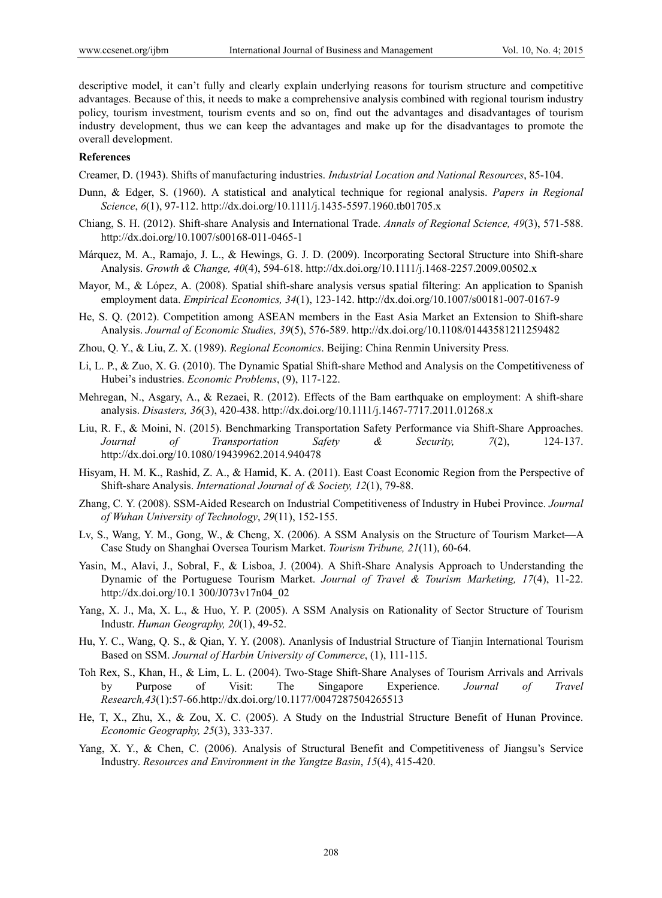descriptive model, it can't fully and clearly explain underlying reasons for tourism structure and competitive advantages. Because of this, it needs to make a comprehensive analysis combined with regional tourism industry policy, tourism investment, tourism events and so on, find out the advantages and disadvantages of tourism industry development, thus we can keep the advantages and make up for the disadvantages to promote the overall development.

### **References**

Creamer, D. (1943). Shifts of manufacturing industries. *Industrial Location and National Resources*, 85-104.

- Dunn, & Edger, S. (1960). A statistical and analytical technique for regional analysis. *Papers in Regional Science*, *6*(1), 97-112. http://dx.doi.org/10.1111/j.1435-5597.1960.tb01705.x
- Chiang, S. H. (2012). Shift-share Analysis and International Trade. *Annals of Regional Science, 49*(3), 571-588. http://dx.doi.org/10.1007/s00168-011-0465-1
- Márquez, M. A., Ramajo, J. L., & Hewings, G. J. D. (2009). Incorporating Sectoral Structure into Shift-share Analysis. *Growth & Change, 40*(4), 594-618. http://dx.doi.org/10.1111/j.1468-2257.2009.00502.x
- Mayor, M., & López, A. (2008). Spatial shift-share analysis versus spatial filtering: An application to Spanish employment data. *Empirical Economics, 34*(1), 123-142. http://dx.doi.org/10.1007/s00181-007-0167-9
- He, S. Q. (2012). Competition among ASEAN members in the East Asia Market an Extension to Shift-share Analysis. *Journal of Economic Studies, 39*(5), 576-589. http://dx.doi.org/10.1108/01443581211259482
- Zhou, Q. Y., & Liu, Z. X. (1989). *Regional Economics*. Beijing: China Renmin University Press.
- Li, L. P., & Zuo, X. G. (2010). The Dynamic Spatial Shift-share Method and Analysis on the Competitiveness of Hubei's industries. *Economic Problems*, (9), 117-122.
- Mehregan, N., Asgary, A., & Rezaei, R. (2012). Effects of the Bam earthquake on employment: A shift-share analysis. *Disasters, 36*(3), 420-438. http://dx.doi.org/10.1111/j.1467-7717.2011.01268.x
- Liu, R. F., & Moini, N. (2015). Benchmarking Transportation Safety Performance via Shift-Share Approaches. *Journal of Transportation Safety & Security, 7*(2), 124-137. http://dx.doi.org/10.1080/19439962.2014.940478
- Hisyam, H. M. K., Rashid, Z. A., & Hamid, K. A. (2011). East Coast Economic Region from the Perspective of Shift-share Analysis. *International Journal of & Society, 12*(1), 79-88.
- Zhang, C. Y. (2008). SSM-Aided Research on Industrial Competitiveness of Industry in Hubei Province. *Journal of Wuhan University of Technology*, *29*(11), 152-155.
- Lv, S., Wang, Y. M., Gong, W., & Cheng, X. (2006). A SSM Analysis on the Structure of Tourism Market—A Case Study on Shanghai Oversea Tourism Market. *Tourism Tribune, 21*(11), 60-64.
- Yasin, M., Alavi, J., Sobral, F., & Lisboa, J. (2004). A Shift-Share Analysis Approach to Understanding the Dynamic of the Portuguese Tourism Market. *Journal of Travel & Tourism Marketing, 17*(4), 11-22. http://dx.doi.org/10.1 300/J073v17n04\_02
- Yang, X. J., Ma, X. L., & Huo, Y. P. (2005). A SSM Analysis on Rationality of Sector Structure of Tourism Industr. *Human Geography, 20*(1), 49-52.
- Hu, Y. C., Wang, Q. S., & Qian, Y. Y. (2008). Ananlysis of Industrial Structure of Tianjin International Tourism Based on SSM. *Journal of Harbin University of Commerce*, (1), 111-115.
- Toh Rex, S., Khan, H., & Lim, L. L. (2004). Two-Stage Shift-Share Analyses of Tourism Arrivals and Arrivals by Purpose of Visit: The Singapore Experience. *Journal of Travel Research,43*(1):57-66.http://dx.doi.org/10.1177/0047287504265513
- He, T, X., Zhu, X., & Zou, X. C. (2005). A Study on the Industrial Structure Benefit of Hunan Province. *Economic Geography, 25*(3), 333-337.
- Yang, X. Y., & Chen, C. (2006). Analysis of Structural Benefit and Competitiveness of Jiangsu's Service Industry. *Resources and Environment in the Yangtze Basin*, *15*(4), 415-420.